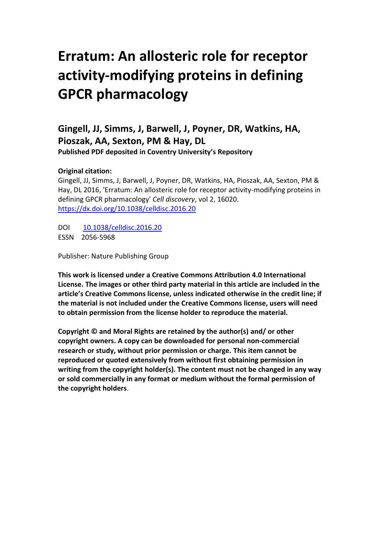## **Erratum: An allosteric role for receptor activity-modifying proteins in defining GPCR pharmacology**

**Gingell, JJ, Simms, J, Barwell, J, Poyner, DR, Watkins, HA, Pioszak, AA, Sexton, PM & Hay, DL Published PDF deposited in Coventry University's Repository**

## **Original citation:**

Gingell, JJ, Simms, J, Barwell, J, Poyner, DR, Watkins, HA, Pioszak, AA, Sexton, PM & Hay, DL 2016, 'Erratum: An allosteric role for receptor activity-modifying proteins in defining GPCR pharmacology' *Cell discovery*, vol 2, 16020. <https://dx.doi.org/10.1038/celldisc.2016.20>

DOI [10.1038/celldisc.2016.20](http://dx.doi.org/10.1038/celldisc.2016.20) ESSN 2056-5968

Publisher: Nature Publishing Group

**This work is licensed under a Creative Commons Attribution 4.0 International License. The images or other third party material in this article are included in the article's Creative Commons license, unless indicated otherwise in the credit line; if the material is not included under the Creative Commons license, users will need to obtain permission from the license holder to reproduce the material.**

**Copyright © and Moral Rights are retained by the author(s) and/ or other copyright owners. A copy can be downloaded for personal non-commercial research or study, without prior permission or charge. This item cannot be reproduced or quoted extensively from without first obtaining permission in writing from the copyright holder(s). The content must not be changed in any way or sold commercially in any format or medium without the formal permission of the copyright holders**.